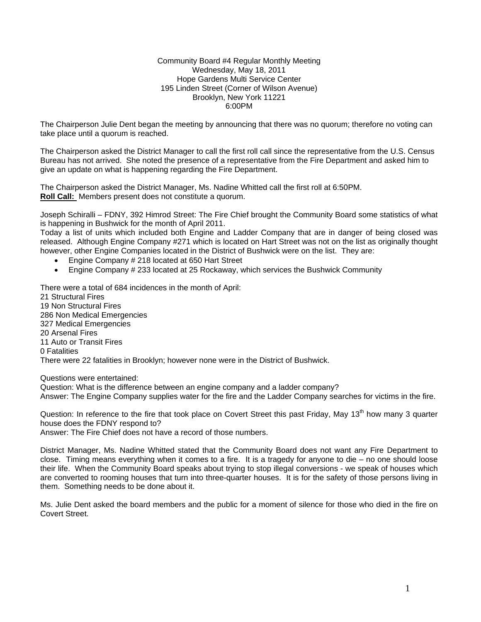#### Community Board #4 Regular Monthly Meeting Wednesday, May 18, 2011 Hope Gardens Multi Service Center 195 Linden Street (Corner of Wilson Avenue) Brooklyn, New York 11221 6:00PM

The Chairperson Julie Dent began the meeting by announcing that there was no quorum; therefore no voting can take place until a quorum is reached.

The Chairperson asked the District Manager to call the first roll call since the representative from the U.S. Census Bureau has not arrived. She noted the presence of a representative from the Fire Department and asked him to give an update on what is happening regarding the Fire Department.

The Chairperson asked the District Manager, Ms. Nadine Whitted call the first roll at 6:50PM. **Roll Call:** Members present does not constitute a quorum.

Joseph Schiralli – FDNY, 392 Himrod Street: The Fire Chief brought the Community Board some statistics of what is happening in Bushwick for the month of April 2011.

Today a list of units which included both Engine and Ladder Company that are in danger of being closed was released. Although Engine Company #271 which is located on Hart Street was not on the list as originally thought however, other Engine Companies located in the District of Bushwick were on the list. They are:

- Engine Company # 218 located at 650 Hart Street
- Engine Company # 233 located at 25 Rockaway, which services the Bushwick Community

There were a total of 684 incidences in the month of April: 21 Structural Fires 19 Non Structural Fires 286 Non Medical Emergencies 327 Medical Emergencies 20 Arsenal Fires 11 Auto or Transit Fires 0 Fatalities There were 22 fatalities in Brooklyn; however none were in the District of Bushwick.

Questions were entertained:

Question: What is the difference between an engine company and a ladder company?

Answer: The Engine Company supplies water for the fire and the Ladder Company searches for victims in the fire.

Question: In reference to the fire that took place on Covert Street this past Friday, May 13<sup>th</sup> how many 3 quarter house does the FDNY respond to?

Answer: The Fire Chief does not have a record of those numbers.

District Manager, Ms. Nadine Whitted stated that the Community Board does not want any Fire Department to close. Timing means everything when it comes to a fire. It is a tragedy for anyone to die – no one should loose their life. When the Community Board speaks about trying to stop illegal conversions - we speak of houses which are converted to rooming houses that turn into three-quarter houses. It is for the safety of those persons living in them. Something needs to be done about it.

Ms. Julie Dent asked the board members and the public for a moment of silence for those who died in the fire on Covert Street.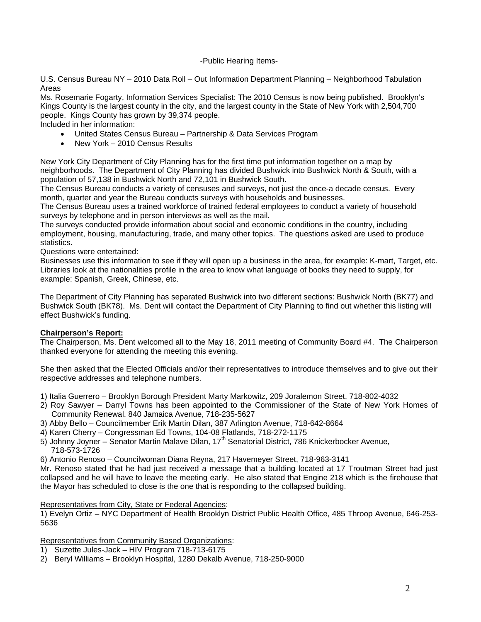### -Public Hearing Items-

U.S. Census Bureau NY – 2010 Data Roll – Out Information Department Planning – Neighborhood Tabulation Areas

Ms. Rosemarie Fogarty, Information Services Specialist: The 2010 Census is now being published. Brooklyn's Kings County is the largest county in the city, and the largest county in the State of New York with 2,504,700 people. Kings County has grown by 39,374 people.

Included in her information:

- United States Census Bureau Partnership & Data Services Program
- New York 2010 Census Results

New York City Department of City Planning has for the first time put information together on a map by neighborhoods. The Department of City Planning has divided Bushwick into Bushwick North & South, with a population of 57,138 in Bushwick North and 72,101 in Bushwick South.

The Census Bureau conducts a variety of censuses and surveys, not just the once-a decade census. Every month, quarter and year the Bureau conducts surveys with households and businesses.

The Census Bureau uses a trained workforce of trained federal employees to conduct a variety of household surveys by telephone and in person interviews as well as the mail.

The surveys conducted provide information about social and economic conditions in the country, including employment, housing, manufacturing, trade, and many other topics. The questions asked are used to produce statistics.

Questions were entertained:

Businesses use this information to see if they will open up a business in the area, for example: K-mart, Target, etc. Libraries look at the nationalities profile in the area to know what language of books they need to supply, for example: Spanish, Greek, Chinese, etc.

The Department of City Planning has separated Bushwick into two different sections: Bushwick North (BK77) and Bushwick South (BK78). Ms. Dent will contact the Department of City Planning to find out whether this listing will effect Bushwick's funding.

#### **Chairperson's Report:**

The Chairperson, Ms. Dent welcomed all to the May 18, 2011 meeting of Community Board #4. The Chairperson thanked everyone for attending the meeting this evening.

She then asked that the Elected Officials and/or their representatives to introduce themselves and to give out their respective addresses and telephone numbers.

- 1) Italia Guerrero Brooklyn Borough President Marty Markowitz, 209 Joralemon Street, 718-802-4032
- 2) Roy Sawyer Darryl Towns has been appointed to the Commissioner of the State of New York Homes of Community Renewal. 840 Jamaica Avenue, 718-235-5627
- 3) Abby Bello Councilmember Erik Martin Dilan, 387 Arlington Avenue, 718-642-8664
- 4) Karen Cherry Congressman Ed Towns, 104-08 Flatlands, 718-272-1175
- 5) Johnny Joyner Senator Martin Malave Dilan, 17<sup>th</sup> Senatorial District, 786 Knickerbocker Avenue, 718-573-1726
- 6) Antonio Renoso Councilwoman Diana Reyna, 217 Havemeyer Street, 718-963-3141

Mr. Renoso stated that he had just received a message that a building located at 17 Troutman Street had just collapsed and he will have to leave the meeting early. He also stated that Engine 218 which is the firehouse that the Mayor has scheduled to close is the one that is responding to the collapsed building.

#### Representatives from City, State or Federal Agencies:

1) Evelyn Ortiz – NYC Department of Health Brooklyn District Public Health Office, 485 Throop Avenue, 646-253- 5636

Representatives from Community Based Organizations:

- 1) Suzette Jules-Jack HIV Program 718-713-6175
- 2) Beryl Williams Brooklyn Hospital, 1280 Dekalb Avenue, 718-250-9000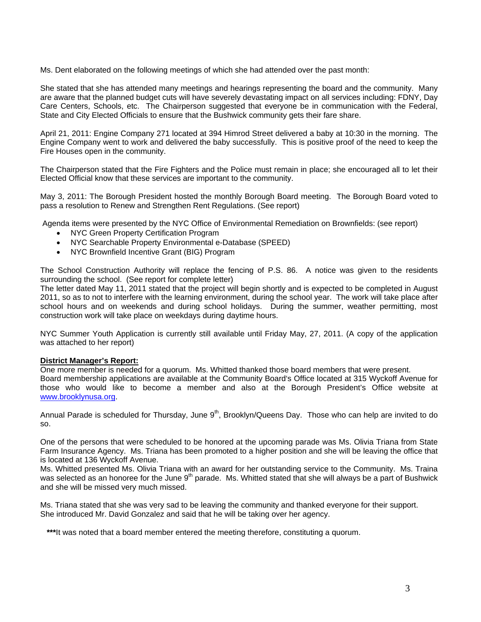Ms. Dent elaborated on the following meetings of which she had attended over the past month:

She stated that she has attended many meetings and hearings representing the board and the community. Many are aware that the planned budget cuts will have severely devastating impact on all services including: FDNY, Day Care Centers, Schools, etc. The Chairperson suggested that everyone be in communication with the Federal, State and City Elected Officials to ensure that the Bushwick community gets their fare share.

April 21, 2011: Engine Company 271 located at 394 Himrod Street delivered a baby at 10:30 in the morning. The Engine Company went to work and delivered the baby successfully. This is positive proof of the need to keep the Fire Houses open in the community.

The Chairperson stated that the Fire Fighters and the Police must remain in place; she encouraged all to let their Elected Official know that these services are important to the community.

May 3, 2011: The Borough President hosted the monthly Borough Board meeting. The Borough Board voted to pass a resolution to Renew and Strengthen Rent Regulations. (See report)

Agenda items were presented by the NYC Office of Environmental Remediation on Brownfields: (see report)

- NYC Green Property Certification Program
- NYC Searchable Property Environmental e-Database (SPEED)
- NYC Brownfield Incentive Grant (BIG) Program

The School Construction Authority will replace the fencing of P.S. 86. A notice was given to the residents surrounding the school. (See report for complete letter)

The letter dated May 11, 2011 stated that the project will begin shortly and is expected to be completed in August 2011, so as to not to interfere with the learning environment, during the school year. The work will take place after school hours and on weekends and during school holidays. During the summer, weather permitting, most construction work will take place on weekdays during daytime hours.

NYC Summer Youth Application is currently still available until Friday May, 27, 2011. (A copy of the application was attached to her report)

#### **District Manager's Report:**

One more member is needed for a quorum. Ms. Whitted thanked those board members that were present. Board membership applications are available at the Community Board's Office located at 315 Wyckoff Avenue for those who would like to become a member and also at the Borough President's Office website at www.brooklynusa.org.

Annual Parade is scheduled for Thursday, June 9<sup>th</sup>, Brooklyn/Queens Day. Those who can help are invited to do so.

One of the persons that were scheduled to be honored at the upcoming parade was Ms. Olivia Triana from State Farm Insurance Agency. Ms. Triana has been promoted to a higher position and she will be leaving the office that is located at 136 Wyckoff Avenue.

Ms. Whitted presented Ms. Olivia Triana with an award for her outstanding service to the Community. Ms. Traina was selected as an honoree for the June 9<sup>th</sup> parade. Ms. Whitted stated that she will always be a part of Bushwick and she will be missed very much missed.

Ms. Triana stated that she was very sad to be leaving the community and thanked everyone for their support. She introduced Mr. David Gonzalez and said that he will be taking over her agency.

\*\*\*It was noted that a board member entered the meeting therefore, constituting a quorum.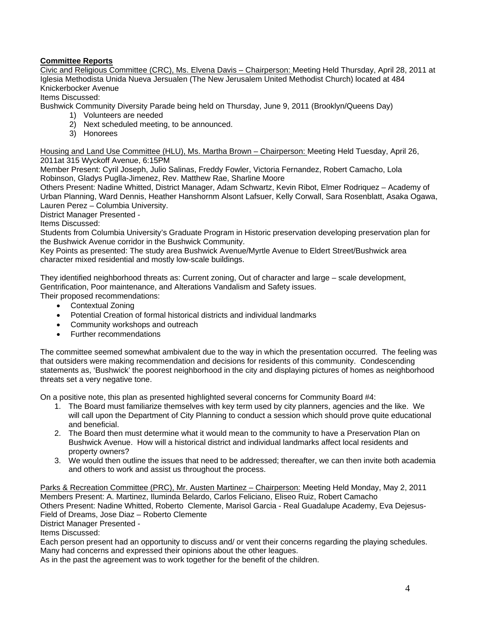# **Committee Reports**

Civic and Religious Committee (CRC), Ms. Elvena Davis – Chairperson: Meeting Held Thursday, April 28, 2011 at Iglesia Methodista Unida Nueva Jersualen (The New Jerusalem United Methodist Church) located at 484 Knickerbocker Avenue

Items Discussed:

Bushwick Community Diversity Parade being held on Thursday, June 9, 2011 (Brooklyn/Queens Day)

- 1) Volunteers are needed
- 2) Next scheduled meeting, to be announced.
- 3) Honorees

Housing and Land Use Committee (HLU), Ms. Martha Brown – Chairperson: Meeting Held Tuesday, April 26, 2011at 315 Wyckoff Avenue, 6:15PM

Member Present: Cyril Joseph, Julio Salinas, Freddy Fowler, Victoria Fernandez, Robert Camacho, Lola Robinson, Gladys Puglla-Jimenez, Rev. Matthew Rae, Sharline Moore

Others Present: Nadine Whitted, District Manager, Adam Schwartz, Kevin Ribot, Elmer Rodriquez – Academy of Urban Planning, Ward Dennis, Heather Hanshornm Alsont Lafsuer, Kelly Corwall, Sara Rosenblatt, Asaka Ogawa, Lauren Perez – Columbia University.

District Manager Presented -

Items Discussed:

Students from Columbia University's Graduate Program in Historic preservation developing preservation plan for the Bushwick Avenue corridor in the Bushwick Community.

Key Points as presented: The study area Bushwick Avenue/Myrtle Avenue to Eldert Street/Bushwick area character mixed residential and mostly low-scale buildings.

They identified neighborhood threats as: Current zoning, Out of character and large – scale development, Gentrification, Poor maintenance, and Alterations Vandalism and Safety issues.

Their proposed recommendations:

- Contextual Zoning
- Potential Creation of formal historical districts and individual landmarks
- Community workshops and outreach
- Further recommendations

The committee seemed somewhat ambivalent due to the way in which the presentation occurred. The feeling was that outsiders were making recommendation and decisions for residents of this community. Condescending statements as, 'Bushwick' the poorest neighborhood in the city and displaying pictures of homes as neighborhood threats set a very negative tone.

On a positive note, this plan as presented highlighted several concerns for Community Board #4:

- 1. The Board must familiarize themselves with key term used by city planners, agencies and the like. We will call upon the Department of City Planning to conduct a session which should prove quite educational and beneficial.
- 2. The Board then must determine what it would mean to the community to have a Preservation Plan on Bushwick Avenue. How will a historical district and individual landmarks affect local residents and property owners?
- 3. We would then outline the issues that need to be addressed; thereafter, we can then invite both academia and others to work and assist us throughout the process.

Parks & Recreation Committee (PRC), Mr. Austen Martinez – Chairperson: Meeting Held Monday, May 2, 2011 Members Present: A. Martinez, Iluminda Belardo, Carlos Feliciano, Eliseo Ruiz, Robert Camacho Others Present: Nadine Whitted, Roberto Clemente, Marisol Garcia - Real Guadalupe Academy, Eva Dejesus-Field of Dreams, Jose Diaz – Roberto Clemente

District Manager Presented -

Items Discussed:

Each person present had an opportunity to discuss and/ or vent their concerns regarding the playing schedules. Many had concerns and expressed their opinions about the other leagues.

As in the past the agreement was to work together for the benefit of the children.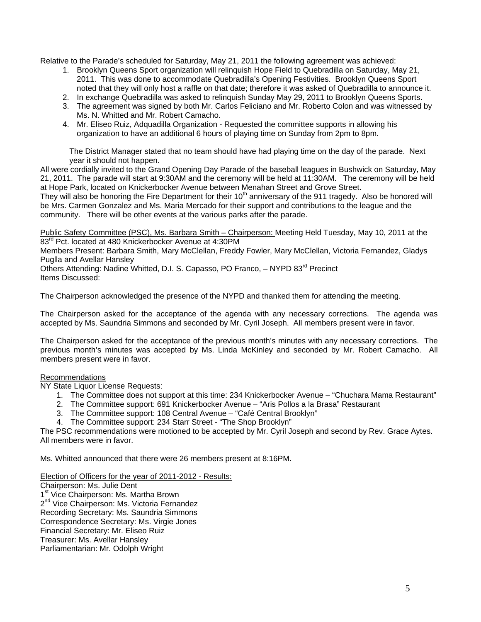Relative to the Parade's scheduled for Saturday, May 21, 2011 the following agreement was achieved:

- 1. Brooklyn Queens Sport organization will relinquish Hope Field to Quebradilla on Saturday, May 21, 2011. This was done to accommodate Quebradilla's Opening Festivities. Brooklyn Queens Sport noted that they will only host a raffle on that date; therefore it was asked of Quebradilla to announce it.
- 2. In exchange Quebradilla was asked to relinquish Sunday May 29, 2011 to Brooklyn Queens Sports.
- 3. The agreement was signed by both Mr. Carlos Feliciano and Mr. Roberto Colon and was witnessed by Ms. N. Whitted and Mr. Robert Camacho.
- 4. Mr. Eliseo Ruiz, Adquadilla Organization Requested the committee supports in allowing his organization to have an additional 6 hours of playing time on Sunday from 2pm to 8pm.

The District Manager stated that no team should have had playing time on the day of the parade. Next year it should not happen.

All were cordially invited to the Grand Opening Day Parade of the baseball leagues in Bushwick on Saturday, May 21, 2011. The parade will start at 9:30AM and the ceremony will be held at 11:30AM. The ceremony will be held at Hope Park, located on Knickerbocker Avenue between Menahan Street and Grove Street.

They will also be honoring the Fire Department for their  $10<sup>th</sup>$  anniversary of the 911 tragedy. Also be honored will be Mrs. Carmen Gonzalez and Ms. Maria Mercado for their support and contributions to the league and the community. There will be other events at the various parks after the parade.

Public Safety Committee (PSC), Ms. Barbara Smith - Chairperson: Meeting Held Tuesday, May 10, 2011 at the 83<sup>rd</sup> Pct. located at 480 Knickerbocker Avenue at 4:30PM

Members Present: Barbara Smith, Mary McClellan, Freddy Fowler, Mary McClellan, Victoria Fernandez, Gladys Puglla and Avellar Hansley

Others Attending: Nadine Whitted, D.I. S. Capasso, PO Franco, - NYPD 83<sup>rd</sup> Precinct Items Discussed:

The Chairperson acknowledged the presence of the NYPD and thanked them for attending the meeting.

The Chairperson asked for the acceptance of the agenda with any necessary corrections. The agenda was accepted by Ms. Saundria Simmons and seconded by Mr. Cyril Joseph. All members present were in favor.

The Chairperson asked for the acceptance of the previous month's minutes with any necessary corrections. The previous month's minutes was accepted by Ms. Linda McKinley and seconded by Mr. Robert Camacho. All members present were in favor.

#### Recommendations

NY State Liquor License Requests:

- 1. The Committee does not support at this time: 234 Knickerbocker Avenue "Chuchara Mama Restaurant"
- 2. The Committee support: 691 Knickerbocker Avenue "Aris Pollos a la Brasa" Restaurant
- 3. The Committee support: 108 Central Avenue "Café Central Brooklyn"
- 4. The Committee support: 234 Starr Street "The Shop Brooklyn"

The PSC recommendations were motioned to be accepted by Mr. Cyril Joseph and second by Rev. Grace Aytes. All members were in favor.

Ms. Whitted announced that there were 26 members present at 8:16PM.

Election of Officers for the year of 2011-2012 - Results:

Chairperson: Ms. Julie Dent 1<sup>st</sup> Vice Chairperson: Ms. Martha Brown 2<sup>nd</sup> Vice Chairperson: Ms. Victoria Fernandez Recording Secretary: Ms. Saundria Simmons Correspondence Secretary: Ms. Virgie Jones Financial Secretary: Mr. Eliseo Ruiz Treasurer: Ms. Avellar Hansley Parliamentarian: Mr. Odolph Wright